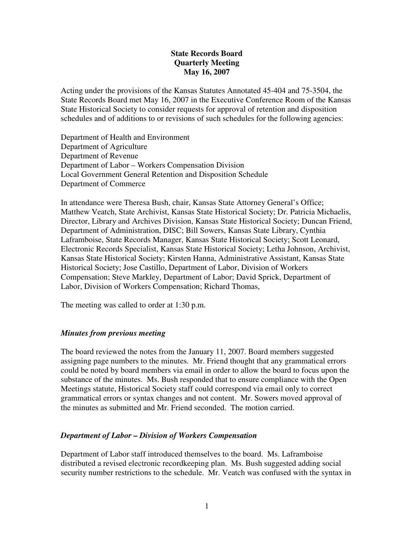# **State Records Board Quarterly Meeting May 16, 2007**

Acting under the provisions of the Kansas Statutes Annotated 45-404 and 75-3504, the State Records Board met May 16, 2007 in the Executive Conference Room of the Kansas State Historical Society to consider requests for approval of retention and disposition schedules and of additions to or revisions of such schedules for the following agencies:

Department of Health and Environment Department of Agriculture Department of Revenue Department of Labor – Workers Compensation Division Local Government General Retention and Disposition Schedule Department of Commerce

In attendance were Theresa Bush, chair, Kansas State Attorney General's Office; Matthew Veatch, State Archivist, Kansas State Historical Society; Dr. Patricia Michaelis, Director, Library and Archives Division, Kansas State Historical Society; Duncan Friend, Department of Administration, DISC; Bill Sowers, Kansas State Library, Cynthia Laframboise, State Records Manager, Kansas State Historical Society; Scott Leonard, Electronic Records Specialist, Kansas State Historical Society; Letha Johnson, Archivist, Kansas State Historical Society; Kirsten Hanna, Administrative Assistant, Kansas State Historical Society; Jose Castillo, Department of Labor, Division of Workers Compensation; Steve Markley, Department of Labor; David Sprick, Department of Labor, Division of Workers Compensation; Richard Thomas,

The meeting was called to order at 1:30 p.m.

## *Minutes from previous meeting*

The board reviewed the notes from the January 11, 2007. Board members suggested assigning page numbers to the minutes. Mr. Friend thought that any grammatical errors could be noted by board members via email in order to allow the board to focus upon the substance of the minutes. Ms. Bush responded that to ensure compliance with the Open Meetings statute, Historical Society staff could correspond via email only to correct grammatical errors or syntax changes and not content. Mr. Sowers moved approval of the minutes as submitted and Mr. Friend seconded. The motion carried.

## *Department of Labor – Division of Workers Compensation*

Department of Labor staff introduced themselves to the board. Ms. Laframboise distributed a revised electronic recordkeeping plan. Ms. Bush suggested adding social security number restrictions to the schedule. Mr. Veatch was confused with the syntax in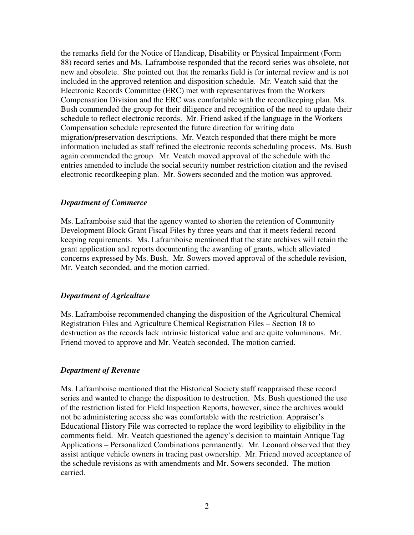the remarks field for the Notice of Handicap, Disability or Physical Impairment (Form 88) record series and Ms. Laframboise responded that the record series was obsolete, not new and obsolete. She pointed out that the remarks field is for internal review and is not included in the approved retention and disposition schedule. Mr. Veatch said that the Electronic Records Committee (ERC) met with representatives from the Workers Compensation Division and the ERC was comfortable with the recordkeeping plan. Ms. Bush commended the group for their diligence and recognition of the need to update their schedule to reflect electronic records. Mr. Friend asked if the language in the Workers Compensation schedule represented the future direction for writing data migration/preservation descriptions. Mr. Veatch responded that there might be more information included as staff refined the electronic records scheduling process. Ms. Bush again commended the group. Mr. Veatch moved approval of the schedule with the entries amended to include the social security number restriction citation and the revised electronic recordkeeping plan. Mr. Sowers seconded and the motion was approved.

#### *Department of Commerce*

Ms. Laframboise said that the agency wanted to shorten the retention of Community Development Block Grant Fiscal Files by three years and that it meets federal record keeping requirements. Ms. Laframboise mentioned that the state archives will retain the grant application and reports documenting the awarding of grants, which alleviated concerns expressed by Ms. Bush. Mr. Sowers moved approval of the schedule revision, Mr. Veatch seconded, and the motion carried.

## *Department of Agriculture*

Ms. Laframboise recommended changing the disposition of the Agricultural Chemical Registration Files and Agriculture Chemical Registration Files – Section 18 to destruction as the records lack intrinsic historical value and are quite voluminous. Mr. Friend moved to approve and Mr. Veatch seconded. The motion carried.

## *Department of Revenue*

Ms. Laframboise mentioned that the Historical Society staff reappraised these record series and wanted to change the disposition to destruction. Ms. Bush questioned the use of the restriction listed for Field Inspection Reports, however, since the archives would not be administering access she was comfortable with the restriction. Appraiser's Educational History File was corrected to replace the word legibility to eligibility in the comments field. Mr. Veatch questioned the agency's decision to maintain Antique Tag Applications – Personalized Combinations permanently. Mr. Leonard observed that they assist antique vehicle owners in tracing past ownership. Mr. Friend moved acceptance of the schedule revisions as with amendments and Mr. Sowers seconded. The motion carried.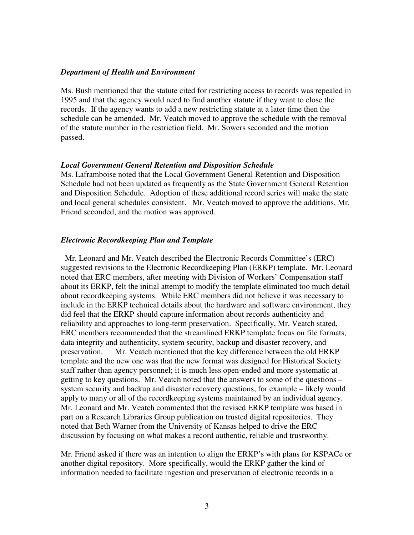#### *Department of Health and Environment*

Ms. Bush mentioned that the statute cited for restricting access to records was repealed in 1995 and that the agency would need to find another statute if they want to close the records. If the agency wants to add a new restricting statute at a later time then the schedule can be amended. Mr. Veatch moved to approve the schedule with the removal of the statute number in the restriction field. Mr. Sowers seconded and the motion passed.

#### *Local Government General Retention and Disposition Schedule*

Ms. Laframboise noted that the Local Government General Retention and Disposition Schedule had not been updated as frequently as the State Government General Retention and Disposition Schedule. Adoption of these additional record series will make the state and local general schedules consistent. Mr. Veatch moved to approve the additions, Mr. Friend seconded, and the motion was approved.

#### *Electronic Recordkeeping Plan and Template*

 Mr. Leonard and Mr. Veatch described the Electronic Records Committee's (ERC) suggested revisions to the Electronic Recordkeeping Plan (ERKP) template. Mr. Leonard noted that ERC members, after meeting with Division of Workers' Compensation staff about its ERKP, felt the initial attempt to modify the template eliminated too much detail about recordkeeping systems. While ERC members did not believe it was necessary to include in the ERKP technical details about the hardware and software environment, they did feel that the ERKP should capture information about records authenticity and reliability and approaches to long-term preservation. Specifically, Mr. Veatch stated, ERC members recommended that the streamlined ERKP template focus on file formats, data integrity and authenticity, system security, backup and disaster recovery, and preservation. Mr. Veatch mentioned that the key difference between the old ERKP template and the new one was that the new format was designed for Historical Society staff rather than agency personnel; it is much less open-ended and more systematic at getting to key questions. Mr. Veatch noted that the answers to some of the questions – system security and backup and disaster recovery questions, for example – likely would apply to many or all of the recordkeeping systems maintained by an individual agency. Mr. Leonard and Mr. Veatch commented that the revised ERKP template was based in part on a Research Libraries Group publication on trusted digital repositories. They noted that Beth Warner from the University of Kansas helped to drive the ERC discussion by focusing on what makes a record authentic, reliable and trustworthy.

Mr. Friend asked if there was an intention to align the ERKP's with plans for KSPACe or another digital repository. More specifically, would the ERKP gather the kind of information needed to facilitate ingestion and preservation of electronic records in a